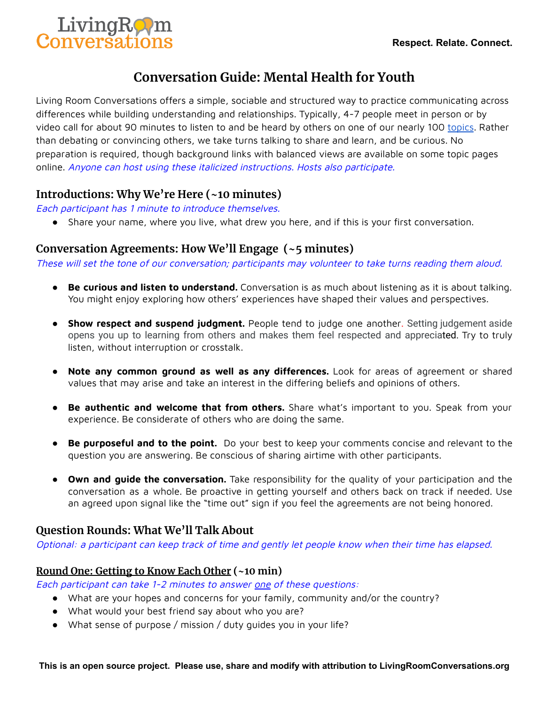

# **Conversation Guide: Mental Health for Youth**

Living Room Conversations offers a simple, sociable and structured way to practice communicating across differences while building understanding and relationships. Typically, 4-7 people meet in person or by video call for about 90 minutes to listen to and be heard by others on one of our nearly 100 [topics](https://www.livingroomconversations.org/topics/). Rather than debating or convincing others, we take turns talking to share and learn, and be curious. No preparation is required, though background links with balanced views are available on some topic pages online. Anyone can host using these italicized instructions. Hosts also participate.

# **Introductions: Why We're Here (~10 minutes)**

Each participant has 1 minute to introduce themselves.

● Share your name, where you live, what drew you here, and if this is your first conversation.

# **Conversation Agreements: How We'll Engage (~5 minutes)**

These will set the tone of our conversation; participants may volunteer to take turns reading them aloud.

- **Be curious and listen to understand.** Conversation is as much about listening as it is about talking. You might enjoy exploring how others' experiences have shaped their values and perspectives.
- **Show respect and suspend judgment.** People tend to judge one another. Setting judgement aside opens you up to learning from others and makes them feel respected and appreciated. Try to truly listen, without interruption or crosstalk.
- **Note any common ground as well as any differences.** Look for areas of agreement or shared values that may arise and take an interest in the differing beliefs and opinions of others.
- **Be authentic and welcome that from others.** Share what's important to you. Speak from your experience. Be considerate of others who are doing the same.
- **Be purposeful and to the point.** Do your best to keep your comments concise and relevant to the question you are answering. Be conscious of sharing airtime with other participants.
- **Own and guide the conversation.** Take responsibility for the quality of your participation and the conversation as a whole. Be proactive in getting yourself and others back on track if needed. Use an agreed upon signal like the "time out" sign if you feel the agreements are not being honored.

# **Question Rounds: What We'll Talk About**

Optional: <sup>a</sup> participant can keep track of time and gently let people know when their time has elapsed.

### **Round One: Getting to Know Each Other (~10 min)**

Each participant can take 1-2 minutes to answer one of these questions:

- What are your hopes and concerns for your family, community and/or the country?
- What would your best friend say about who you are?
- What sense of purpose / mission / duty guides you in your life?